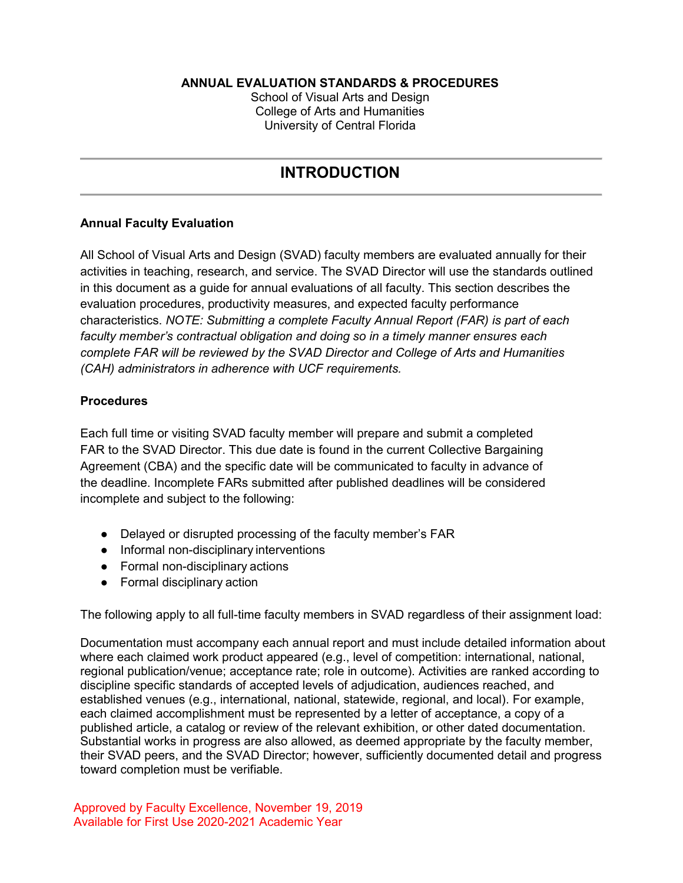### **ANNUAL EVALUATION STANDARDS & PROCEDURES**

School of Visual Arts and Design College of Arts and Humanities University of Central Florida

# **INTRODUCTION**

### **Annual Faculty Evaluation**

All School of Visual Arts and Design (SVAD) faculty members are evaluated annually for their activities in teaching, research, and service. The SVAD Director will use the standards outlined in this document as a guide for annual evaluations of all faculty. This section describes the evaluation procedures, productivity measures, and expected faculty performance characteristics. *NOTE: Submitting a complete Faculty Annual Report (FAR) is part of each faculty member's contractual obligation and doing so in a timely manner ensures each complete FAR will be reviewed by the SVAD Director and College of Arts and Humanities (CAH) administrators in adherence with UCF requirements.*

### **Procedures**

Each full time or visiting SVAD faculty member will prepare and submit a completed FAR to the SVAD Director. This due date is found in the current Collective Bargaining Agreement (CBA) and the specific date will be communicated to faculty in advance of the deadline. Incomplete FARs submitted after published deadlines will be considered incomplete and subject to the following:

- Delayed or disrupted processing of the faculty member's FAR
- Informal non-disciplinary interventions
- Formal non-disciplinary actions
- Formal disciplinary action

The following apply to all full-time faculty members in SVAD regardless of their assignment load:

Documentation must accompany each annual report and must include detailed information about where each claimed work product appeared (e.g., level of competition: international, national, regional publication/venue; acceptance rate; role in outcome). Activities are ranked according to discipline specific standards of accepted levels of adjudication, audiences reached, and established venues (e.g., international, national, statewide, regional, and local). For example, each claimed accomplishment must be represented by a letter of acceptance, a copy of a published article, a catalog or review of the relevant exhibition, or other dated documentation. Substantial works in progress are also allowed, as deemed appropriate by the faculty member, their SVAD peers, and the SVAD Director; however, sufficiently documented detail and progress toward completion must be verifiable.

Approved by Faculty Excellence, November 19, 2019 Available for First Use 2020-2021 Academic Year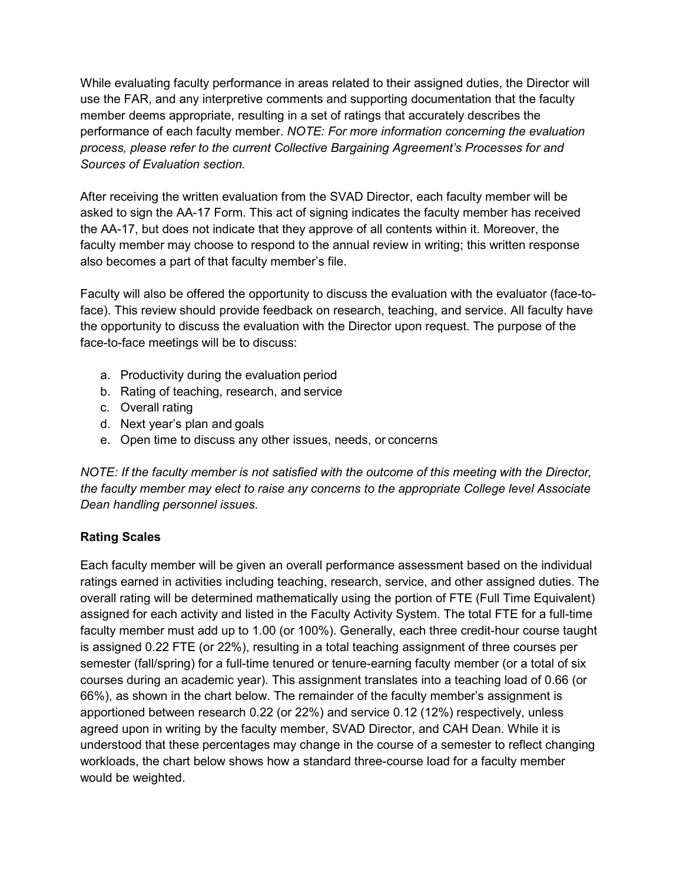While evaluating faculty performance in areas related to their assigned duties, the Director will use the FAR, and any interpretive comments and supporting documentation that the faculty member deems appropriate, resulting in a set of ratings that accurately describes the performance of each faculty member. *NOTE: For more information concerning the evaluation process, please refer to the current Collective Bargaining Agreement's Processes for and Sources of Evaluation section.*

After receiving the written evaluation from the SVAD Director, each faculty member will be asked to sign the AA-17 Form. This act of signing indicates the faculty member has received the AA-17, but does not indicate that they approve of all contents within it. Moreover, the faculty member may choose to respond to the annual review in writing; this written response also becomes a part of that faculty member's file.

Faculty will also be offered the opportunity to discuss the evaluation with the evaluator (face-toface). This review should provide feedback on research, teaching, and service. All faculty have the opportunity to discuss the evaluation with the Director upon request. The purpose of the face-to-face meetings will be to discuss:

- a. Productivity during the evaluation period
- b. Rating of teaching, research, and service
- c. Overall rating
- d. Next year's plan and goals
- e. Open time to discuss any other issues, needs, or concerns

*NOTE: If the faculty member is not satisfied with the outcome of this meeting with the Director, the faculty member may elect to raise any concerns to the appropriate College level Associate Dean handling personnel issues.*

# **Rating Scales**

Each faculty member will be given an overall performance assessment based on the individual ratings earned in activities including teaching, research, service, and other assigned duties. The overall rating will be determined mathematically using the portion of FTE (Full Time Equivalent) assigned for each activity and listed in the Faculty Activity System. The total FTE for a full-time faculty member must add up to 1.00 (or 100%). Generally, each three credit-hour course taught is assigned 0.22 FTE (or 22%), resulting in a total teaching assignment of three courses per semester (fall/spring) for a full-time tenured or tenure-earning faculty member (or a total of six courses during an academic year). This assignment translates into a teaching load of 0.66 (or 66%), as shown in the chart below. The remainder of the faculty member's assignment is apportioned between research 0.22 (or 22%) and service 0.12 (12%) respectively, unless agreed upon in writing by the faculty member, SVAD Director, and CAH Dean. While it is understood that these percentages may change in the course of a semester to reflect changing workloads, the chart below shows how a standard three-course load for a faculty member would be weighted.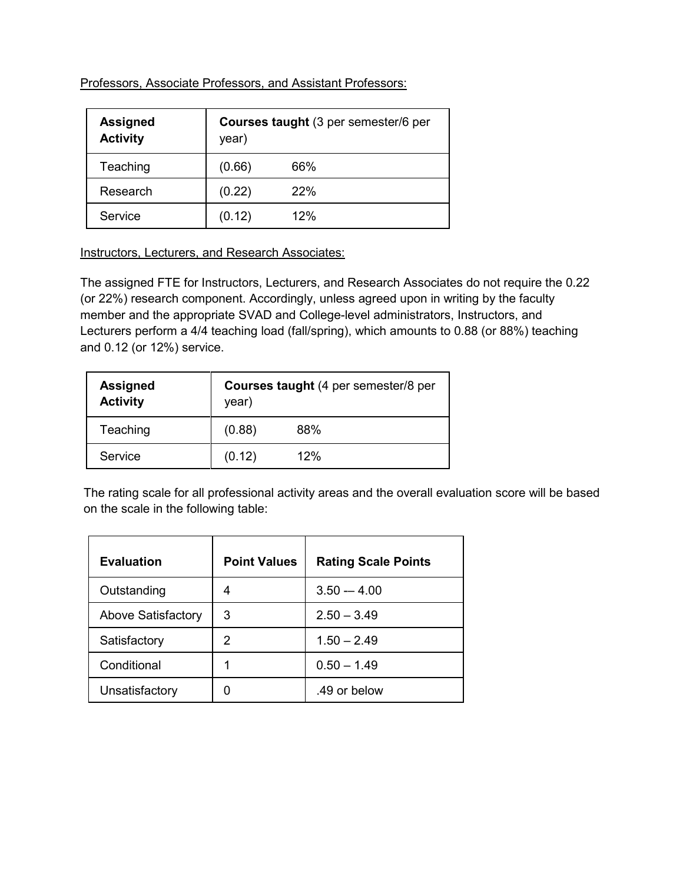Professors, Associate Professors, and Assistant Professors:

| <b>Assigned</b><br><b>Activity</b> | Courses taught (3 per semester/6 per<br>year) |     |
|------------------------------------|-----------------------------------------------|-----|
| Teaching                           | (0.66)                                        | 66% |
| Research                           | (0.22)                                        | 22% |
| Service                            | (0.12)                                        | 12% |

Instructors, Lecturers, and Research Associates:

The assigned FTE for Instructors, Lecturers, and Research Associates do not require the 0.22 (or 22%) research component. Accordingly, unless agreed upon in writing by the faculty member and the appropriate SVAD and College-level administrators, Instructors, and Lecturers perform a 4/4 teaching load (fall/spring), which amounts to 0.88 (or 88%) teaching and 0.12 (or 12%) service.

| <b>Assigned</b><br><b>Activity</b> | <b>Courses taught</b> (4 per semester/8 per<br>year) |     |
|------------------------------------|------------------------------------------------------|-----|
| Teaching                           | (0.88)                                               | 88% |
| Service                            | (0.12)                                               | 12% |

The rating scale for all professional activity areas and the overall evaluation score will be based on the scale in the following table:

| <b>Evaluation</b>  | <b>Point Values</b> | <b>Rating Scale Points</b> |
|--------------------|---------------------|----------------------------|
| Outstanding        |                     | $3.50 - 4.00$              |
| Above Satisfactory | 3                   | $2.50 - 3.49$              |
| Satisfactory       | 2                   | $1.50 - 2.49$              |
| Conditional        |                     | $0.50 - 1.49$              |
| Unsatisfactory     |                     | .49 or below               |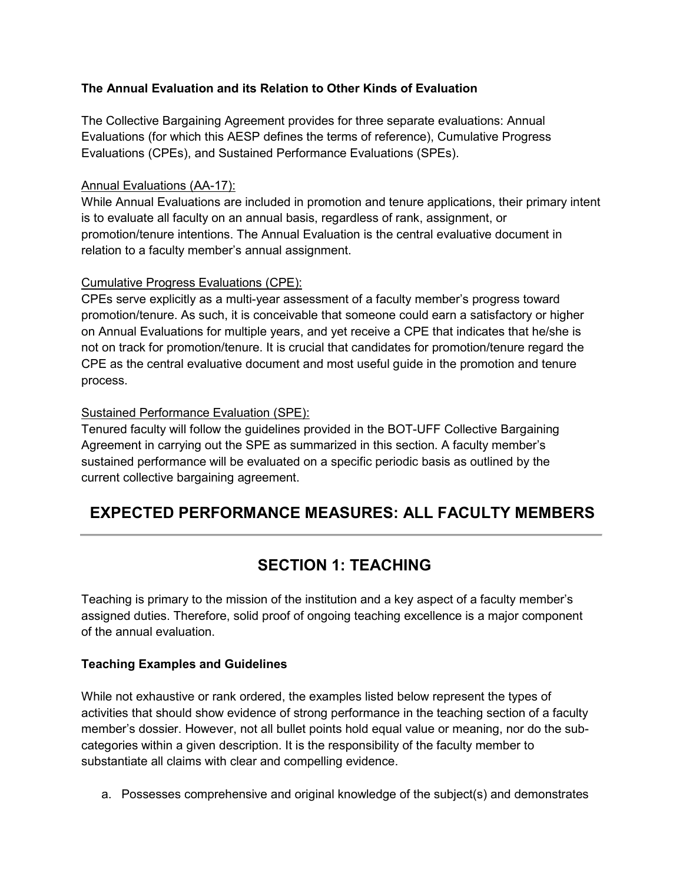# **The Annual Evaluation and its Relation to Other Kinds of Evaluation**

The Collective Bargaining Agreement provides for three separate evaluations: Annual Evaluations (for which this AESP defines the terms of reference), Cumulative Progress Evaluations (CPEs), and Sustained Performance Evaluations (SPEs).

### Annual Evaluations (AA-17):

While Annual Evaluations are included in promotion and tenure applications, their primary intent is to evaluate all faculty on an annual basis, regardless of rank, assignment, or promotion/tenure intentions. The Annual Evaluation is the central evaluative document in relation to a faculty member's annual assignment.

### Cumulative Progress Evaluations (CPE):

CPEs serve explicitly as a multi-year assessment of a faculty member's progress toward promotion/tenure. As such, it is conceivable that someone could earn a satisfactory or higher on Annual Evaluations for multiple years, and yet receive a CPE that indicates that he/she is not on track for promotion/tenure. It is crucial that candidates for promotion/tenure regard the CPE as the central evaluative document and most useful guide in the promotion and tenure process.

## Sustained Performance Evaluation (SPE):

Tenured faculty will follow the guidelines provided in the BOT-UFF Collective Bargaining Agreement in carrying out the SPE as summarized in this section. A faculty member's sustained performance will be evaluated on a specific periodic basis as outlined by the current collective bargaining agreement.

# **EXPECTED PERFORMANCE MEASURES: ALL FACULTY MEMBERS**

# **SECTION 1: TEACHING**

Teaching is primary to the mission of the institution and a key aspect of a faculty member's assigned duties. Therefore, solid proof of ongoing teaching excellence is a major component of the annual evaluation.

### **Teaching Examples and Guidelines**

While not exhaustive or rank ordered, the examples listed below represent the types of activities that should show evidence of strong performance in the teaching section of a faculty member's dossier. However, not all bullet points hold equal value or meaning, nor do the subcategories within a given description. It is the responsibility of the faculty member to substantiate all claims with clear and compelling evidence.

a. Possesses comprehensive and original knowledge of the subject(s) and demonstrates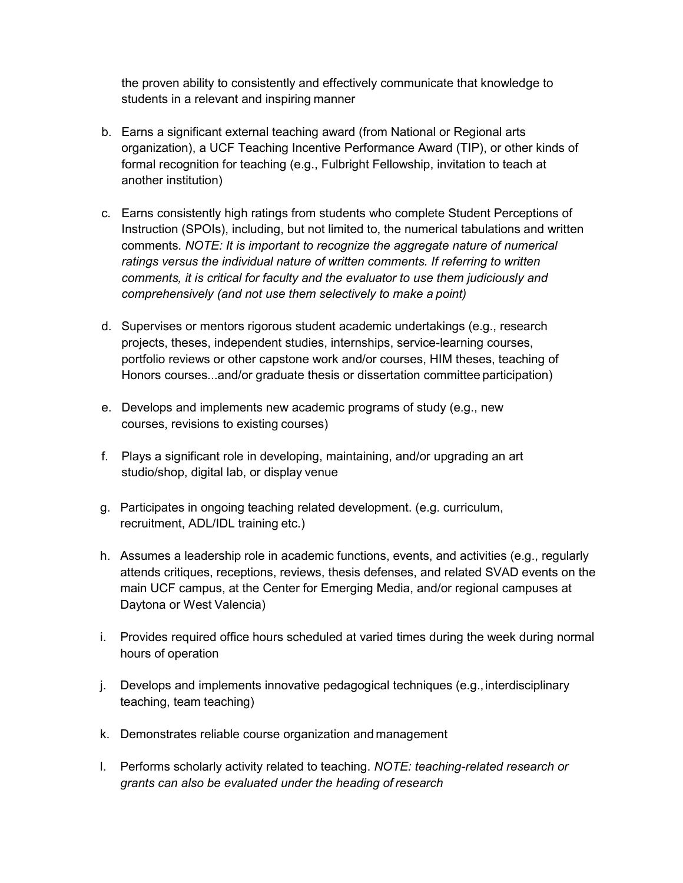the proven ability to consistently and effectively communicate that knowledge to students in a relevant and inspiring manner

- b. Earns a significant external teaching award (from National or Regional arts organization), a UCF Teaching Incentive Performance Award (TIP), or other kinds of formal recognition for teaching (e.g., Fulbright Fellowship, invitation to teach at another institution)
- c. Earns consistently high ratings from students who complete Student Perceptions of Instruction (SPOIs), including, but not limited to, the numerical tabulations and written comments. *NOTE: It is important to recognize the aggregate nature of numerical ratings versus the individual nature of written comments. If referring to written comments, it is critical for faculty and the evaluator to use them judiciously and comprehensively (and not use them selectively to make a point)*
- d. Supervises or mentors rigorous student academic undertakings (e.g., research projects, theses, independent studies, internships, service-learning courses, portfolio reviews or other capstone work and/or courses, HIM theses, teaching of Honors courses...and/or graduate thesis or dissertation committee participation)
- e. Develops and implements new academic programs of study (e.g., new courses, revisions to existing courses)
- f. Plays a significant role in developing, maintaining, and/or upgrading an art studio/shop, digital lab, or display venue
- g. Participates in ongoing teaching related development. (e.g. curriculum, recruitment, ADL/IDL training etc.)
- h. Assumes a leadership role in academic functions, events, and activities (e.g., regularly attends critiques, receptions, reviews, thesis defenses, and related SVAD events on the main UCF campus, at the Center for Emerging Media, and/or regional campuses at Daytona or West Valencia)
- i. Provides required office hours scheduled at varied times during the week during normal hours of operation
- j. Develops and implements innovative pedagogical techniques (e.g.,interdisciplinary teaching, team teaching)
- k. Demonstrates reliable course organization and management
- l. Performs scholarly activity related to teaching. *NOTE: teaching-related research or grants can also be evaluated under the heading of research*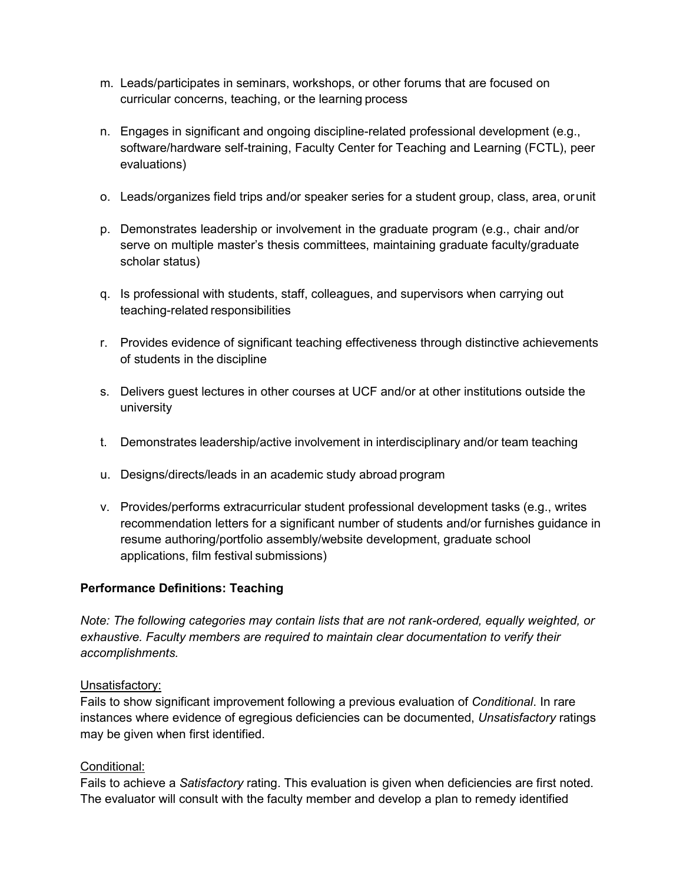- m. Leads/participates in seminars, workshops, or other forums that are focused on curricular concerns, teaching, or the learning process
- n. Engages in significant and ongoing discipline-related professional development (e.g., software/hardware self-training, Faculty Center for Teaching and Learning (FCTL), peer evaluations)
- o. Leads/organizes field trips and/or speaker series for a student group, class, area, orunit
- p. Demonstrates leadership or involvement in the graduate program (e.g., chair and/or serve on multiple master's thesis committees, maintaining graduate faculty/graduate scholar status)
- q. Is professional with students, staff, colleagues, and supervisors when carrying out teaching-related responsibilities
- r. Provides evidence of significant teaching effectiveness through distinctive achievements of students in the discipline
- s. Delivers guest lectures in other courses at UCF and/or at other institutions outside the university
- t. Demonstrates leadership/active involvement in interdisciplinary and/or team teaching
- u. Designs/directs/leads in an academic study abroad program
- v. Provides/performs extracurricular student professional development tasks (e.g., writes recommendation letters for a significant number of students and/or furnishes guidance in resume authoring/portfolio assembly/website development, graduate school applications, film festival submissions)

### **Performance Definitions: Teaching**

*Note: The following categories may contain lists that are not rank-ordered, equally weighted, or exhaustive. Faculty members are required to maintain clear documentation to verify their accomplishments.*

#### Unsatisfactory:

Fails to show significant improvement following a previous evaluation of *Conditional*. In rare instances where evidence of egregious deficiencies can be documented, *Unsatisfactory* ratings may be given when first identified.

#### Conditional:

Fails to achieve a *Satisfactory* rating. This evaluation is given when deficiencies are first noted. The evaluator will consult with the faculty member and develop a plan to remedy identified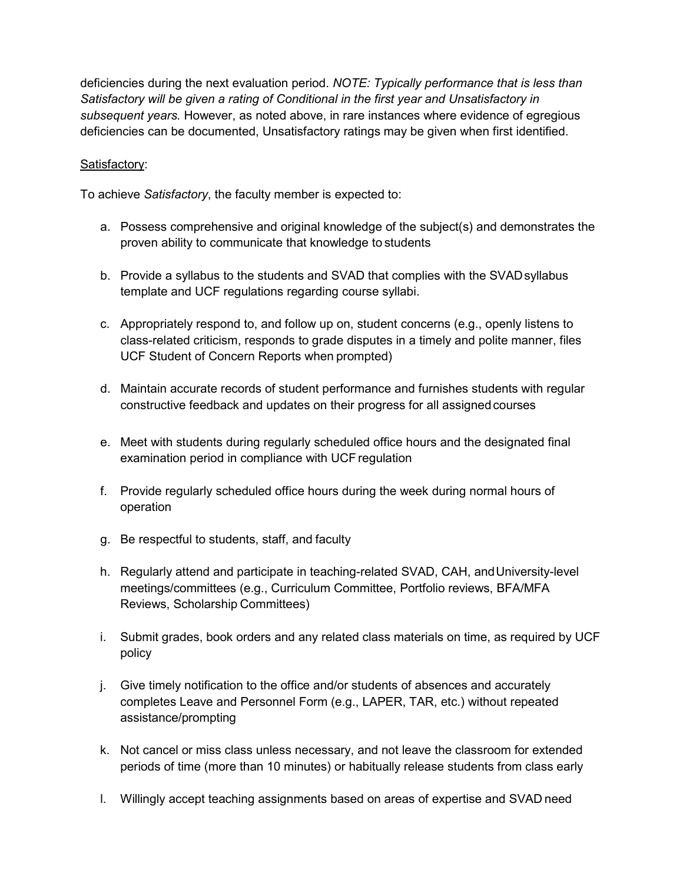deficiencies during the next evaluation period. *NOTE: Typically performance that is less than Satisfactory will be given a rating of Conditional in the first year and Unsatisfactory in subsequent years.* However, as noted above, in rare instances where evidence of egregious deficiencies can be documented, Unsatisfactory ratings may be given when first identified.

### Satisfactory:

To achieve *Satisfactory*, the faculty member is expected to:

- a. Possess comprehensive and original knowledge of the subject(s) and demonstrates the proven ability to communicate that knowledge to students
- b. Provide a syllabus to the students and SVAD that complies with the SVADsyllabus template and UCF regulations regarding course syllabi.
- c. Appropriately respond to, and follow up on, student concerns (e.g., openly listens to class-related criticism, responds to grade disputes in a timely and polite manner, files UCF Student of Concern Reports when prompted)
- d. Maintain accurate records of student performance and furnishes students with regular constructive feedback and updates on their progress for all assigned courses
- e. Meet with students during regularly scheduled office hours and the designated final examination period in compliance with UCF regulation
- f. Provide regularly scheduled office hours during the week during normal hours of operation
- g. Be respectful to students, staff, and faculty
- h. Regularly attend and participate in teaching-related SVAD, CAH, andUniversity-level meetings/committees (e.g., Curriculum Committee, Portfolio reviews, BFA/MFA Reviews, Scholarship Committees)
- i. Submit grades, book orders and any related class materials on time, as required by UCF policy
- j. Give timely notification to the office and/or students of absences and accurately completes Leave and Personnel Form (e.g., LAPER, TAR, etc.) without repeated assistance/prompting
- k. Not cancel or miss class unless necessary, and not leave the classroom for extended periods of time (more than 10 minutes) or habitually release students from class early
- l. Willingly accept teaching assignments based on areas of expertise and SVAD need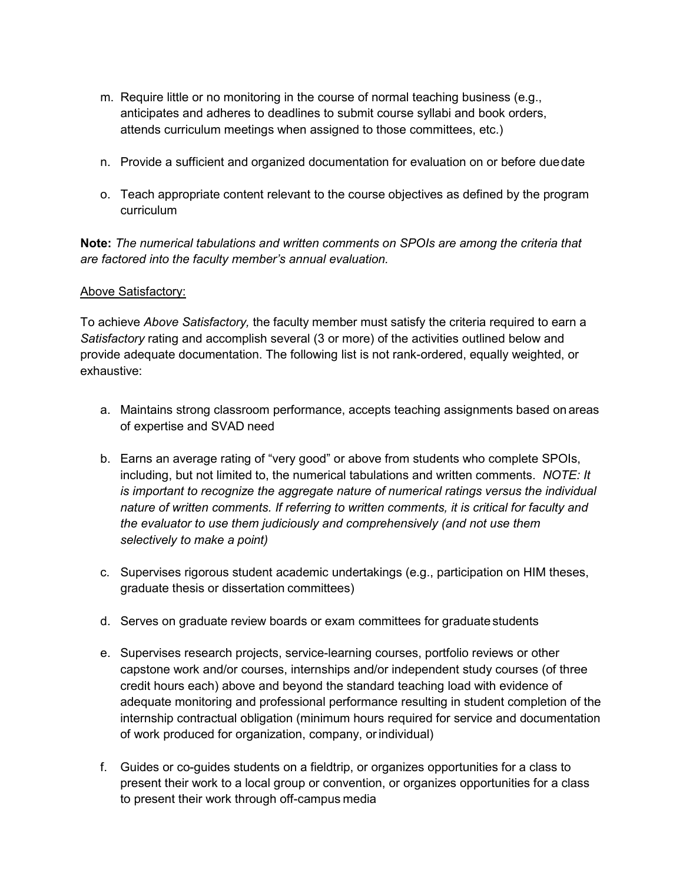- m. Require little or no monitoring in the course of normal teaching business (e.g., anticipates and adheres to deadlines to submit course syllabi and book orders, attends curriculum meetings when assigned to those committees, etc.)
- n. Provide a sufficient and organized documentation for evaluation on or before duedate
- o. Teach appropriate content relevant to the course objectives as defined by the program curriculum

**Note:** *The numerical tabulations and written comments on SPOIs are among the criteria that are factored into the faculty member's annual evaluation.*

### Above Satisfactory:

To achieve *Above Satisfactory,* the faculty member must satisfy the criteria required to earn a *Satisfactory* rating and accomplish several (3 or more) of the activities outlined below and provide adequate documentation. The following list is not rank-ordered, equally weighted, or exhaustive:

- a. Maintains strong classroom performance, accepts teaching assignments based on areas of expertise and SVAD need
- b. Earns an average rating of "very good" or above from students who complete SPOIs, including, but not limited to, the numerical tabulations and written comments. *NOTE: It is important to recognize the aggregate nature of numerical ratings versus the individual nature of written comments. If referring to written comments, it is critical for faculty and the evaluator to use them judiciously and comprehensively (and not use them selectively to make a point)*
- c. Supervises rigorous student academic undertakings (e.g., participation on HIM theses, graduate thesis or dissertation committees)
- d. Serves on graduate review boards or exam committees for graduate students
- e. Supervises research projects, service-learning courses, portfolio reviews or other capstone work and/or courses, internships and/or independent study courses (of three credit hours each) above and beyond the standard teaching load with evidence of adequate monitoring and professional performance resulting in student completion of the internship contractual obligation (minimum hours required for service and documentation of work produced for organization, company, orindividual)
- f. Guides or co-guides students on a fieldtrip, or organizes opportunities for a class to present their work to a local group or convention, or organizes opportunities for a class to present their work through off-campus media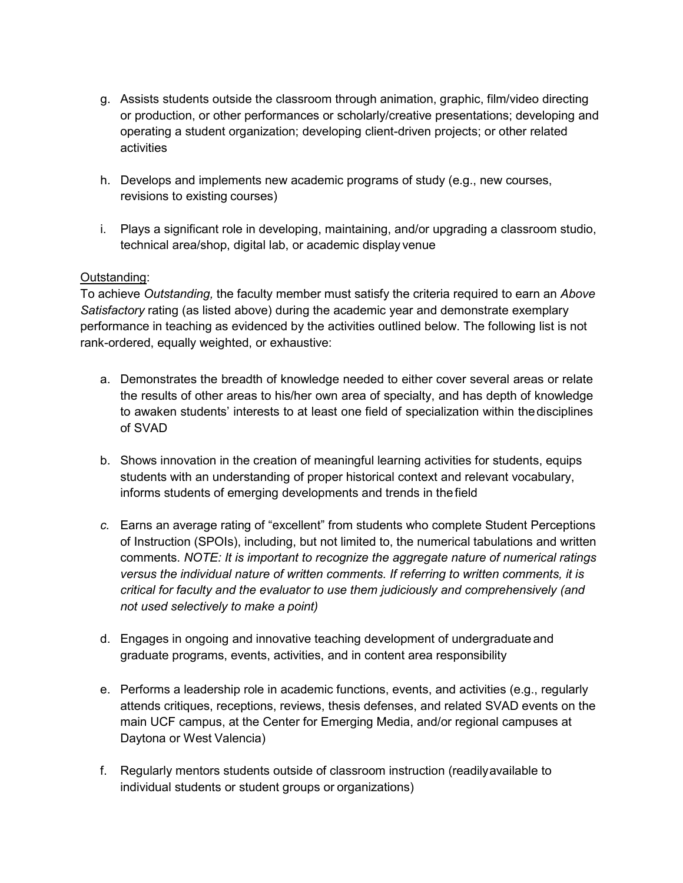- g. Assists students outside the classroom through animation, graphic, film/video directing or production, or other performances or scholarly/creative presentations; developing and operating a student organization; developing client-driven projects; or other related activities
- h. Develops and implements new academic programs of study (e.g., new courses, revisions to existing courses)
- i. Plays a significant role in developing, maintaining, and/or upgrading a classroom studio, technical area/shop, digital lab, or academic display venue

### Outstanding:

To achieve *Outstanding,* the faculty member must satisfy the criteria required to earn an *Above Satisfactory* rating (as listed above) during the academic year and demonstrate exemplary performance in teaching as evidenced by the activities outlined below. The following list is not rank-ordered, equally weighted, or exhaustive:

- a. Demonstrates the breadth of knowledge needed to either cover several areas or relate the results of other areas to his/her own area of specialty, and has depth of knowledge to awaken students' interests to at least one field of specialization within thedisciplines of SVAD
- b. Shows innovation in the creation of meaningful learning activities for students, equips students with an understanding of proper historical context and relevant vocabulary, informs students of emerging developments and trends in thefield
- *c.* Earns an average rating of "excellent" from students who complete Student Perceptions of Instruction (SPOIs), including, but not limited to, the numerical tabulations and written comments. *NOTE: It is important to recognize the aggregate nature of numerical ratings versus the individual nature of written comments. If referring to written comments, it is critical for faculty and the evaluator to use them judiciously and comprehensively (and not used selectively to make a point)*
- d. Engages in ongoing and innovative teaching development of undergraduate and graduate programs, events, activities, and in content area responsibility
- e. Performs a leadership role in academic functions, events, and activities (e.g., regularly attends critiques, receptions, reviews, thesis defenses, and related SVAD events on the main UCF campus, at the Center for Emerging Media, and/or regional campuses at Daytona or West Valencia)
- f. Regularly mentors students outside of classroom instruction (readilyavailable to individual students or student groups or organizations)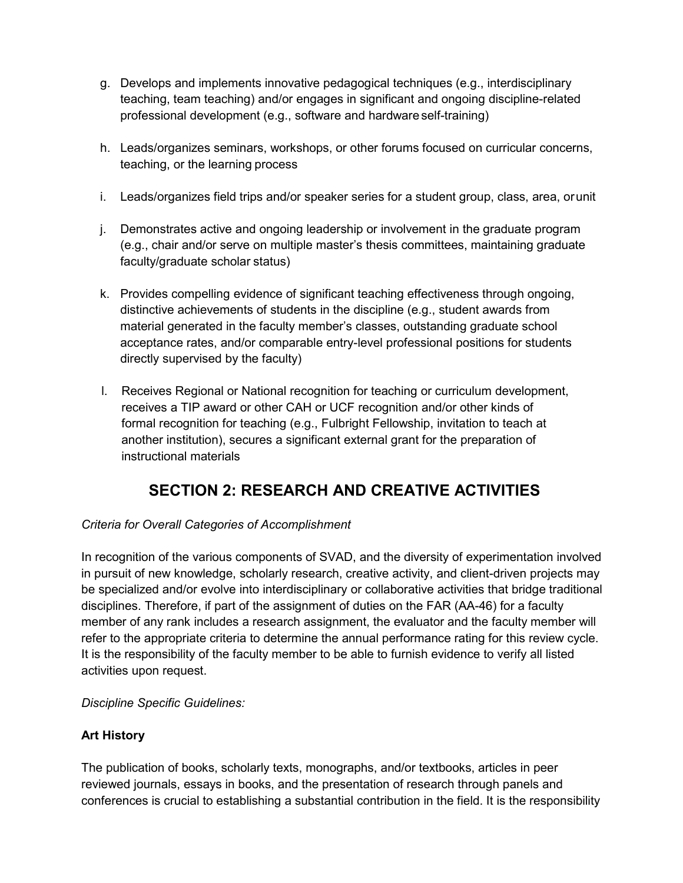- g. Develops and implements innovative pedagogical techniques (e.g., interdisciplinary teaching, team teaching) and/or engages in significant and ongoing discipline-related professional development (e.g., software and hardware self-training)
- h. Leads/organizes seminars, workshops, or other forums focused on curricular concerns, teaching, or the learning process
- i. Leads/organizes field trips and/or speaker series for a student group, class, area, orunit
- j. Demonstrates active and ongoing leadership or involvement in the graduate program (e.g., chair and/or serve on multiple master's thesis committees, maintaining graduate faculty/graduate scholar status)
- k. Provides compelling evidence of significant teaching effectiveness through ongoing, distinctive achievements of students in the discipline (e.g., student awards from material generated in the faculty member's classes, outstanding graduate school acceptance rates, and/or comparable entry-level professional positions for students directly supervised by the faculty)
- l. Receives Regional or National recognition for teaching or curriculum development, receives a TIP award or other CAH or UCF recognition and/or other kinds of formal recognition for teaching (e.g., Fulbright Fellowship, invitation to teach at another institution), secures a significant external grant for the preparation of instructional materials

# **SECTION 2: RESEARCH AND CREATIVE ACTIVITIES**

# *Criteria for Overall Categories of Accomplishment*

In recognition of the various components of SVAD, and the diversity of experimentation involved in pursuit of new knowledge, scholarly research, creative activity, and client-driven projects may be specialized and/or evolve into interdisciplinary or collaborative activities that bridge traditional disciplines. Therefore, if part of the assignment of duties on the FAR (AA-46) for a faculty member of any rank includes a research assignment, the evaluator and the faculty member will refer to the appropriate criteria to determine the annual performance rating for this review cycle. It is the responsibility of the faculty member to be able to furnish evidence to verify all listed activities upon request.

*Discipline Specific Guidelines:*

# **Art History**

The publication of books, scholarly texts, monographs, and/or textbooks, articles in peer reviewed journals, essays in books, and the presentation of research through panels and conferences is crucial to establishing a substantial contribution in the field. It is the responsibility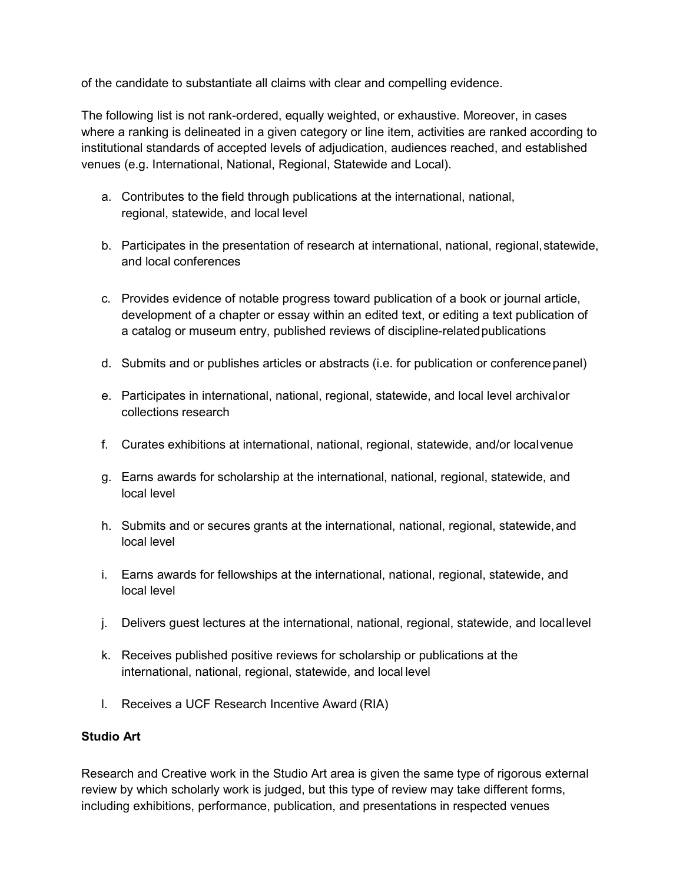of the candidate to substantiate all claims with clear and compelling evidence.

The following list is not rank-ordered, equally weighted, or exhaustive. Moreover, in cases where a ranking is delineated in a given category or line item, activities are ranked according to institutional standards of accepted levels of adjudication, audiences reached, and established venues (e.g. International, National, Regional, Statewide and Local).

- a. Contributes to the field through publications at the international, national, regional, statewide, and local level
- b. Participates in the presentation of research at international, national, regional, statewide, and local conferences
- c. Provides evidence of notable progress toward publication of a book or journal article, development of a chapter or essay within an edited text, or editing a text publication of a catalog or museum entry, published reviews of discipline-relatedpublications
- d. Submits and or publishes articles or abstracts (i.e. for publication or conferencepanel)
- e. Participates in international, national, regional, statewide, and local level archivalor collections research
- f. Curates exhibitions at international, national, regional, statewide, and/or localvenue
- g. Earns awards for scholarship at the international, national, regional, statewide, and local level
- h. Submits and or secures grants at the international, national, regional, statewide,and local level
- i. Earns awards for fellowships at the international, national, regional, statewide, and local level
- j. Delivers guest lectures at the international, national, regional, statewide, and locallevel
- k. Receives published positive reviews for scholarship or publications at the international, national, regional, statewide, and local level
- l. Receives a UCF Research Incentive Award (RIA)

# **Studio Art**

Research and Creative work in the Studio Art area is given the same type of rigorous external review by which scholarly work is judged, but this type of review may take different forms, including exhibitions, performance, publication, and presentations in respected venues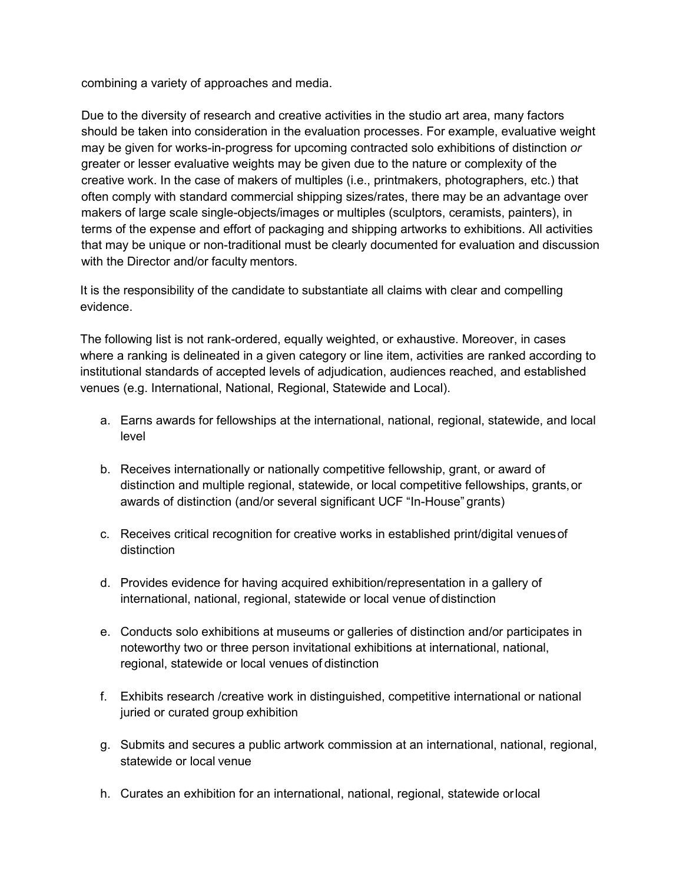combining a variety of approaches and media.

Due to the diversity of research and creative activities in the studio art area, many factors should be taken into consideration in the evaluation processes. For example, evaluative weight may be given for works-in-progress for upcoming contracted solo exhibitions of distinction *or*  greater or lesser evaluative weights may be given due to the nature or complexity of the creative work. In the case of makers of multiples (i.e., printmakers, photographers, etc.) that often comply with standard commercial shipping sizes/rates, there may be an advantage over makers of large scale single-objects/images or multiples (sculptors, ceramists, painters), in terms of the expense and effort of packaging and shipping artworks to exhibitions. All activities that may be unique or non-traditional must be clearly documented for evaluation and discussion with the Director and/or faculty mentors.

It is the responsibility of the candidate to substantiate all claims with clear and compelling evidence.

The following list is not rank-ordered, equally weighted, or exhaustive. Moreover, in cases where a ranking is delineated in a given category or line item, activities are ranked according to institutional standards of accepted levels of adjudication, audiences reached, and established venues (e.g. International, National, Regional, Statewide and Local).

- a. Earns awards for fellowships at the international, national, regional, statewide, and local level
- b. Receives internationally or nationally competitive fellowship, grant, or award of distinction and multiple regional, statewide, or local competitive fellowships, grants,or awards of distinction (and/or several significant UCF "In-House" grants)
- c. Receives critical recognition for creative works in established print/digital venuesof distinction
- d. Provides evidence for having acquired exhibition/representation in a gallery of international, national, regional, statewide or local venue of distinction
- e. Conducts solo exhibitions at museums or galleries of distinction and/or participates in noteworthy two or three person invitational exhibitions at international, national, regional, statewide or local venues of distinction
- f. Exhibits research /creative work in distinguished, competitive international or national juried or curated group exhibition
- g. Submits and secures a public artwork commission at an international, national, regional, statewide or local venue
- h. Curates an exhibition for an international, national, regional, statewide orlocal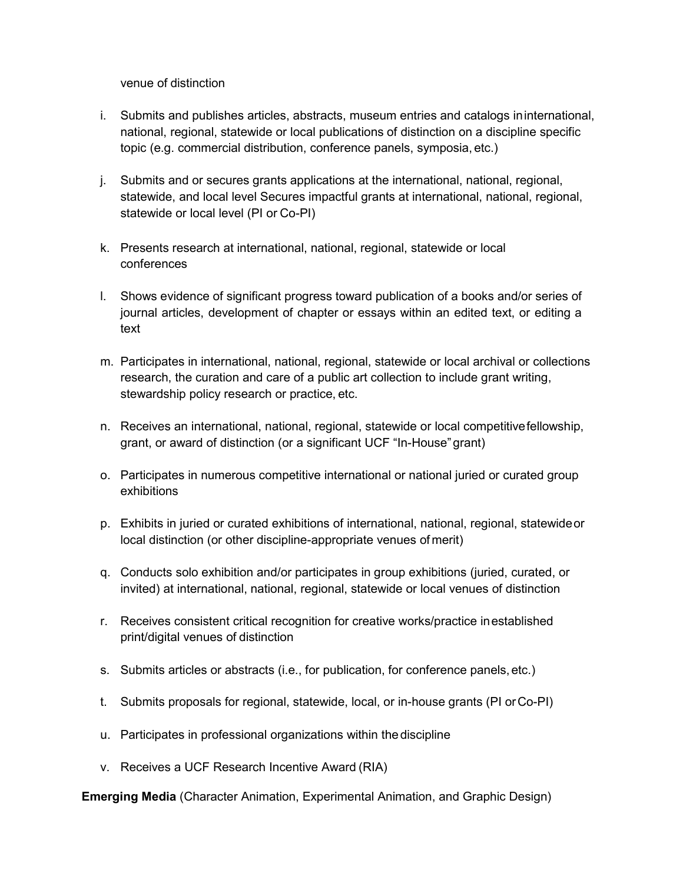venue of distinction

- i. Submits and publishes articles, abstracts, museum entries and catalogs ininternational, national, regional, statewide or local publications of distinction on a discipline specific topic (e.g. commercial distribution, conference panels, symposia, etc.)
- j. Submits and or secures grants applications at the international, national, regional, statewide, and local level Secures impactful grants at international, national, regional, statewide or local level (PI or Co-PI)
- k. Presents research at international, national, regional, statewide or local conferences
- l. Shows evidence of significant progress toward publication of a books and/or series of journal articles, development of chapter or essays within an edited text, or editing a text
- m. Participates in international, national, regional, statewide or local archival or collections research, the curation and care of a public art collection to include grant writing, stewardship policy research or practice, etc.
- n. Receives an international, national, regional, statewide or local competitivefellowship, grant, or award of distinction (or a significant UCF "In-House"grant)
- o. Participates in numerous competitive international or national juried or curated group exhibitions
- p. Exhibits in juried or curated exhibitions of international, national, regional, statewideor local distinction (or other discipline-appropriate venues of merit)
- q. Conducts solo exhibition and/or participates in group exhibitions (juried, curated, or invited) at international, national, regional, statewide or local venues of distinction
- r. Receives consistent critical recognition for creative works/practice inestablished print/digital venues of distinction
- s. Submits articles or abstracts (i.e., for publication, for conference panels, etc.)
- t. Submits proposals for regional, statewide, local, or in-house grants (PI orCo-PI)
- u. Participates in professional organizations within thediscipline
- v. Receives a UCF Research Incentive Award (RIA)

 **Emerging Media** (Character Animation, Experimental Animation, and Graphic Design)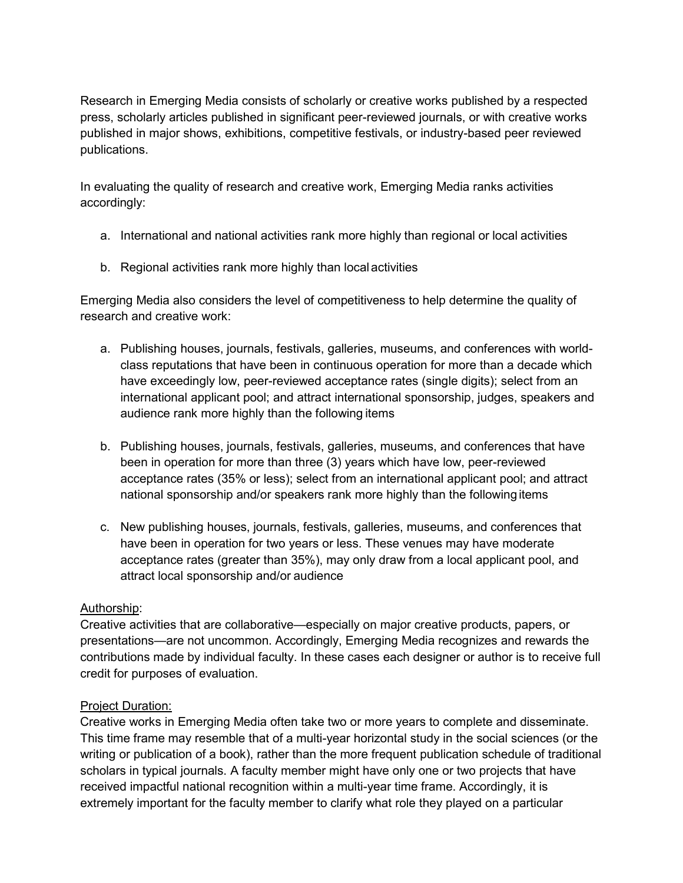Research in Emerging Media consists of scholarly or creative works published by a respected press, scholarly articles published in significant peer-reviewed journals, or with creative works published in major shows, exhibitions, competitive festivals, or industry-based peer reviewed publications.

In evaluating the quality of research and creative work, Emerging Media ranks activities accordingly:

- a. International and national activities rank more highly than regional or local activities
- b. Regional activities rank more highly than local activities

Emerging Media also considers the level of competitiveness to help determine the quality of research and creative work:

- a. Publishing houses, journals, festivals, galleries, museums, and conferences with worldclass reputations that have been in continuous operation for more than a decade which have exceedingly low, peer-reviewed acceptance rates (single digits); select from an international applicant pool; and attract international sponsorship, judges, speakers and audience rank more highly than the following items
- b. Publishing houses, journals, festivals, galleries, museums, and conferences that have been in operation for more than three (3) years which have low, peer-reviewed acceptance rates (35% or less); select from an international applicant pool; and attract national sponsorship and/or speakers rank more highly than the following items
- c. New publishing houses, journals, festivals, galleries, museums, and conferences that have been in operation for two years or less. These venues may have moderate acceptance rates (greater than 35%), may only draw from a local applicant pool, and attract local sponsorship and/or audience

# Authorship:

Creative activities that are collaborative—especially on major creative products, papers, or presentations—are not uncommon. Accordingly, Emerging Media recognizes and rewards the contributions made by individual faculty. In these cases each designer or author is to receive full credit for purposes of evaluation.

# Project Duration:

Creative works in Emerging Media often take two or more years to complete and disseminate. This time frame may resemble that of a multi-year horizontal study in the social sciences (or the writing or publication of a book), rather than the more frequent publication schedule of traditional scholars in typical journals. A faculty member might have only one or two projects that have received impactful national recognition within a multi-year time frame. Accordingly, it is extremely important for the faculty member to clarify what role they played on a particular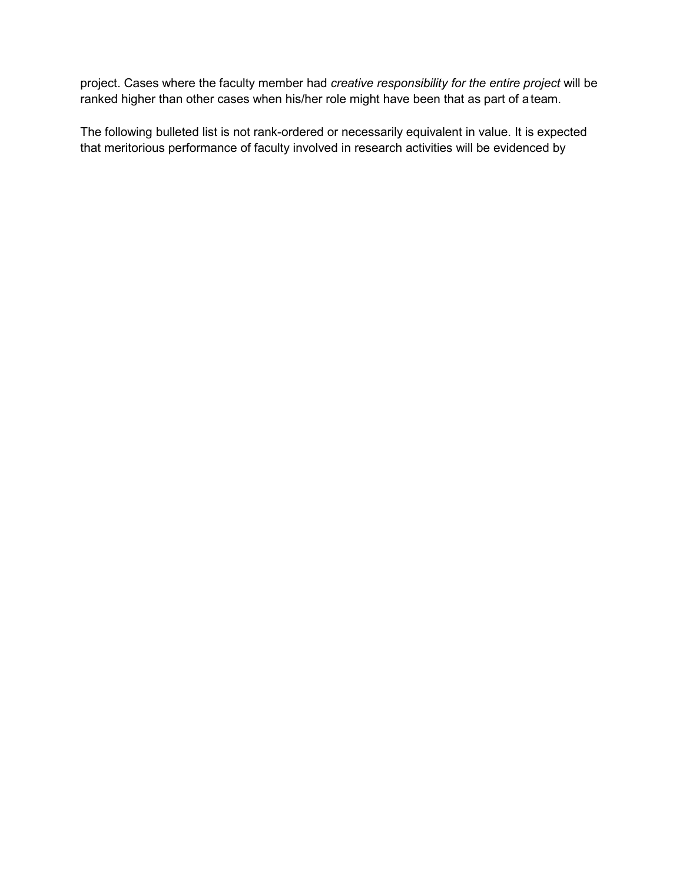project. Cases where the faculty member had *creative responsibility for the entire project* will be ranked higher than other cases when his/her role might have been that as part of ateam.

The following bulleted list is not rank-ordered or necessarily equivalent in value. It is expected that meritorious performance of faculty involved in research activities will be evidenced by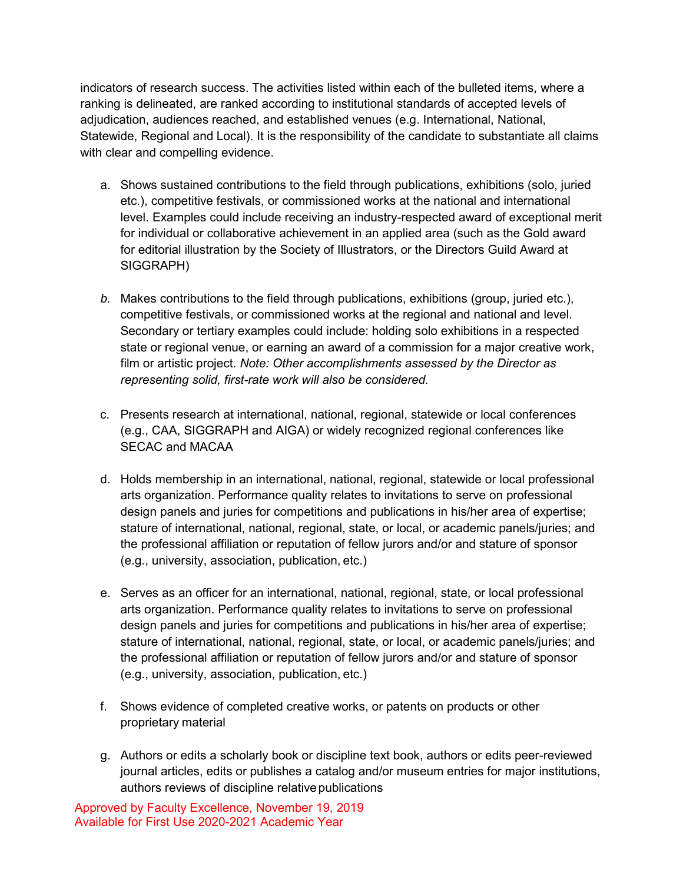indicators of research success. The activities listed within each of the bulleted items, where a ranking is delineated, are ranked according to institutional standards of accepted levels of adjudication, audiences reached, and established venues (e.g. International, National, Statewide, Regional and Local). It is the responsibility of the candidate to substantiate all claims with clear and compelling evidence.

- a. Shows sustained contributions to the field through publications, exhibitions (solo, juried etc.), competitive festivals, or commissioned works at the national and international level. Examples could include receiving an industry-respected award of exceptional merit for individual or collaborative achievement in an applied area (such as the Gold award for editorial illustration by the Society of Illustrators, or the Directors Guild Award at SIGGRAPH)
- *b.* Makes contributions to the field through publications, exhibitions (group, juried etc.), competitive festivals, or commissioned works at the regional and national and level. Secondary or tertiary examples could include: holding solo exhibitions in a respected state or regional venue, or earning an award of a commission for a major creative work, film or artistic project. *Note: Other accomplishments assessed by the Director as representing solid, first-rate work will also be considered.*
- c. Presents research at international, national, regional, statewide or local conferences (e.g., CAA, SIGGRAPH and AIGA) or widely recognized regional conferences like SECAC and MACAA
- d. Holds membership in an international, national, regional, statewide or local professional arts organization. Performance quality relates to invitations to serve on professional design panels and juries for competitions and publications in his/her area of expertise; stature of international, national, regional, state, or local, or academic panels/juries; and the professional affiliation or reputation of fellow jurors and/or and stature of sponsor (e.g., university, association, publication, etc.)
- e. Serves as an officer for an international, national, regional, state, or local professional arts organization. Performance quality relates to invitations to serve on professional design panels and juries for competitions and publications in his/her area of expertise; stature of international, national, regional, state, or local, or academic panels/juries; and the professional affiliation or reputation of fellow jurors and/or and stature of sponsor (e.g., university, association, publication, etc.)
- f. Shows evidence of completed creative works, or patents on products or other proprietary material
- g. Authors or edits a scholarly book or discipline text book, authors or edits peer-reviewed journal articles, edits or publishes a catalog and/or museum entries for major institutions, authors reviews of discipline relativepublications

Approved by Faculty Excellence, November 19, 2019 Available for First Use 2020-2021 Academic Year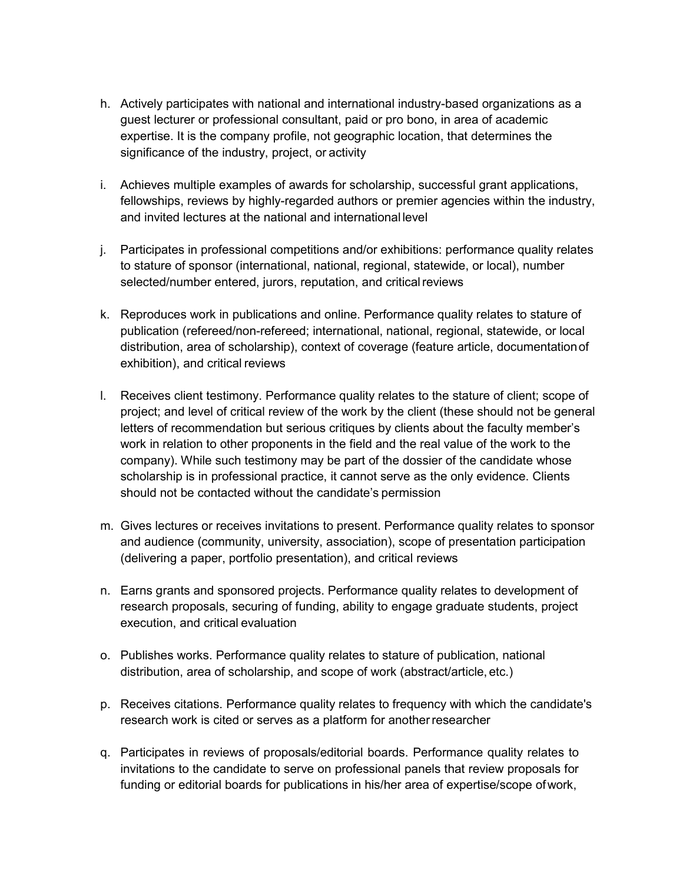- h. Actively participates with national and international industry-based organizations as a guest lecturer or professional consultant, paid or pro bono, in area of academic expertise. It is the company profile, not geographic location, that determines the significance of the industry, project, or activity
- i. Achieves multiple examples of awards for scholarship, successful grant applications, fellowships, reviews by highly-regarded authors or premier agencies within the industry, and invited lectures at the national and international level
- j. Participates in professional competitions and/or exhibitions: performance quality relates to stature of sponsor (international, national, regional, statewide, or local), number selected/number entered, jurors, reputation, and critical reviews
- k. Reproduces work in publications and online. Performance quality relates to stature of publication (refereed/non-refereed; international, national, regional, statewide, or local distribution, area of scholarship), context of coverage (feature article, documentationof exhibition), and critical reviews
- l. Receives client testimony. Performance quality relates to the stature of client; scope of project; and level of critical review of the work by the client (these should not be general letters of recommendation but serious critiques by clients about the faculty member's work in relation to other proponents in the field and the real value of the work to the company). While such testimony may be part of the dossier of the candidate whose scholarship is in professional practice, it cannot serve as the only evidence. Clients should not be contacted without the candidate's permission
- m. Gives lectures or receives invitations to present. Performance quality relates to sponsor and audience (community, university, association), scope of presentation participation (delivering a paper, portfolio presentation), and critical reviews
- n. Earns grants and sponsored projects. Performance quality relates to development of research proposals, securing of funding, ability to engage graduate students, project execution, and critical evaluation
- o. Publishes works. Performance quality relates to stature of publication, national distribution, area of scholarship, and scope of work (abstract/article, etc.)
- p. Receives citations. Performance quality relates to frequency with which the candidate's research work is cited or serves as a platform for anotherresearcher
- q. Participates in reviews of proposals/editorial boards. Performance quality relates to invitations to the candidate to serve on professional panels that review proposals for funding or editorial boards for publications in his/her area of expertise/scope ofwork,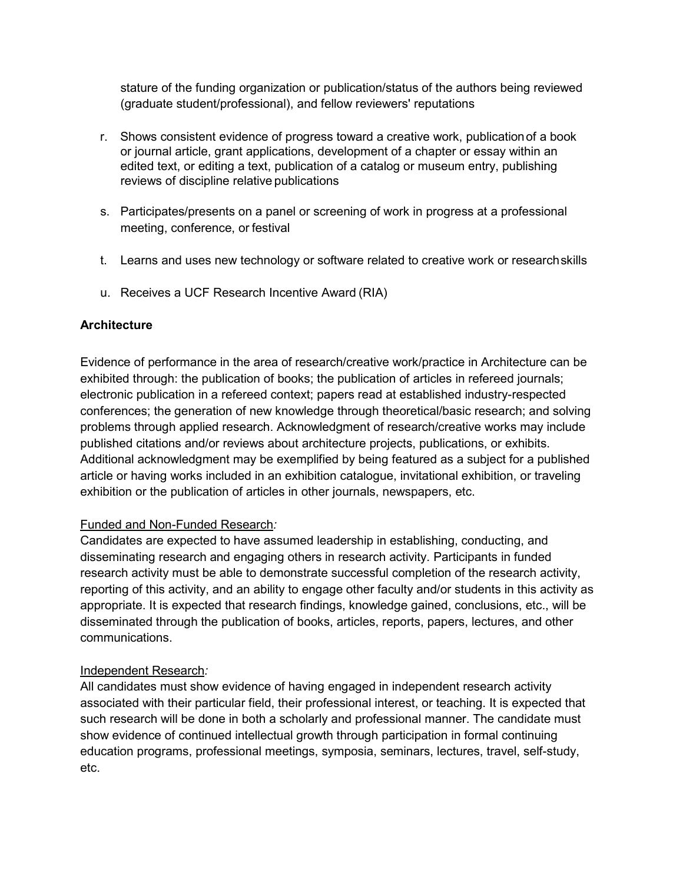stature of the funding organization or publication/status of the authors being reviewed (graduate student/professional), and fellow reviewers' reputations

- r. Shows consistent evidence of progress toward a creative work, publicationof a book or journal article, grant applications, development of a chapter or essay within an edited text, or editing a text, publication of a catalog or museum entry, publishing reviews of discipline relative publications
- s. Participates/presents on a panel or screening of work in progress at a professional meeting, conference, or festival
- t. Learns and uses new technology or software related to creative work or researchskills
- u. Receives a UCF Research Incentive Award (RIA)

## **Architecture**

Evidence of performance in the area of research/creative work/practice in Architecture can be exhibited through: the publication of books; the publication of articles in refereed journals; electronic publication in a refereed context; papers read at established industry-respected conferences; the generation of new knowledge through theoretical/basic research; and solving problems through applied research. Acknowledgment of research/creative works may include published citations and/or reviews about architecture projects, publications, or exhibits. Additional acknowledgment may be exemplified by being featured as a subject for a published article or having works included in an exhibition catalogue, invitational exhibition, or traveling exhibition or the publication of articles in other journals, newspapers, etc.

### Funded and Non-Funded Research*:*

Candidates are expected to have assumed leadership in establishing, conducting, and disseminating research and engaging others in research activity. Participants in funded research activity must be able to demonstrate successful completion of the research activity, reporting of this activity, and an ability to engage other faculty and/or students in this activity as appropriate. It is expected that research findings, knowledge gained, conclusions, etc., will be disseminated through the publication of books, articles, reports, papers, lectures, and other communications.

### Independent Research*:*

All candidates must show evidence of having engaged in independent research activity associated with their particular field, their professional interest, or teaching. It is expected that such research will be done in both a scholarly and professional manner. The candidate must show evidence of continued intellectual growth through participation in formal continuing education programs, professional meetings, symposia, seminars, lectures, travel, self-study, etc.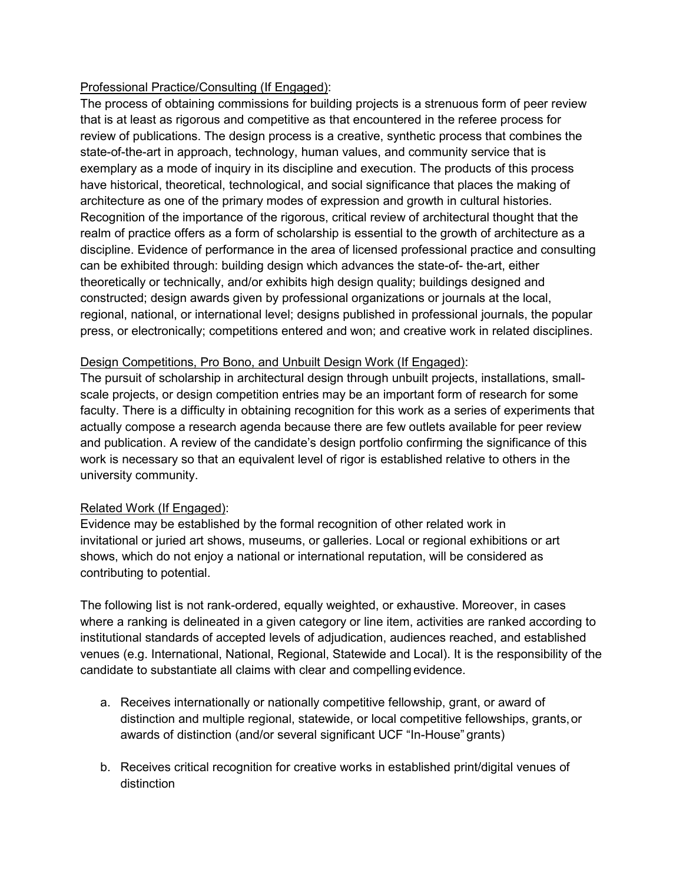## Professional Practice/Consulting (If Engaged):

The process of obtaining commissions for building projects is a strenuous form of peer review that is at least as rigorous and competitive as that encountered in the referee process for review of publications. The design process is a creative, synthetic process that combines the state-of-the-art in approach, technology, human values, and community service that is exemplary as a mode of inquiry in its discipline and execution. The products of this process have historical, theoretical, technological, and social significance that places the making of architecture as one of the primary modes of expression and growth in cultural histories. Recognition of the importance of the rigorous, critical review of architectural thought that the realm of practice offers as a form of scholarship is essential to the growth of architecture as a discipline. Evidence of performance in the area of licensed professional practice and consulting can be exhibited through: building design which advances the state-of- the-art, either theoretically or technically, and/or exhibits high design quality; buildings designed and constructed; design awards given by professional organizations or journals at the local, regional, national, or international level; designs published in professional journals, the popular press, or electronically; competitions entered and won; and creative work in related disciplines.

### Design Competitions, Pro Bono, and Unbuilt Design Work (If Engaged):

The pursuit of scholarship in architectural design through unbuilt projects, installations, smallscale projects, or design competition entries may be an important form of research for some faculty. There is a difficulty in obtaining recognition for this work as a series of experiments that actually compose a research agenda because there are few outlets available for peer review and publication. A review of the candidate's design portfolio confirming the significance of this work is necessary so that an equivalent level of rigor is established relative to others in the university community.

# Related Work (If Engaged):

Evidence may be established by the formal recognition of other related work in invitational or juried art shows, museums, or galleries. Local or regional exhibitions or art shows, which do not enjoy a national or international reputation, will be considered as contributing to potential.

The following list is not rank-ordered, equally weighted, or exhaustive. Moreover, in cases where a ranking is delineated in a given category or line item, activities are ranked according to institutional standards of accepted levels of adjudication, audiences reached, and established venues (e.g. International, National, Regional, Statewide and Local). It is the responsibility of the candidate to substantiate all claims with clear and compelling evidence.

- a. Receives internationally or nationally competitive fellowship, grant, or award of distinction and multiple regional, statewide, or local competitive fellowships, grants,or awards of distinction (and/or several significant UCF "In-House" grants)
- b. Receives critical recognition for creative works in established print/digital venues of distinction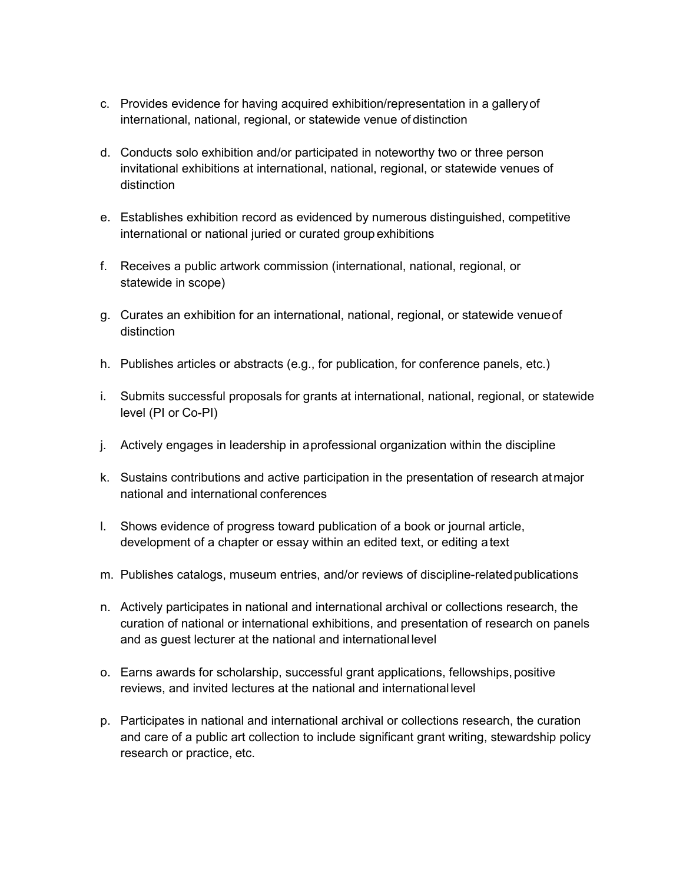- c. Provides evidence for having acquired exhibition/representation in a galleryof international, national, regional, or statewide venue of distinction
- d. Conducts solo exhibition and/or participated in noteworthy two or three person invitational exhibitions at international, national, regional, or statewide venues of distinction
- e. Establishes exhibition record as evidenced by numerous distinguished, competitive international or national juried or curated group exhibitions
- f. Receives a public artwork commission (international, national, regional, or statewide in scope)
- g. Curates an exhibition for an international, national, regional, or statewide venueof distinction
- h. Publishes articles or abstracts (e.g., for publication, for conference panels, etc.)
- i. Submits successful proposals for grants at international, national, regional, or statewide level (PI or Co-PI)
- j. Actively engages in leadership in aprofessional organization within the discipline
- k. Sustains contributions and active participation in the presentation of research atmajor national and international conferences
- l. Shows evidence of progress toward publication of a book or journal article, development of a chapter or essay within an edited text, or editing atext
- m. Publishes catalogs, museum entries, and/or reviews of discipline-relatedpublications
- n. Actively participates in national and international archival or collections research, the curation of national or international exhibitions, and presentation of research on panels and as guest lecturer at the national and international level
- o. Earns awards for scholarship, successful grant applications, fellowships,positive reviews, and invited lectures at the national and international level
- p. Participates in national and international archival or collections research, the curation and care of a public art collection to include significant grant writing, stewardship policy research or practice, etc.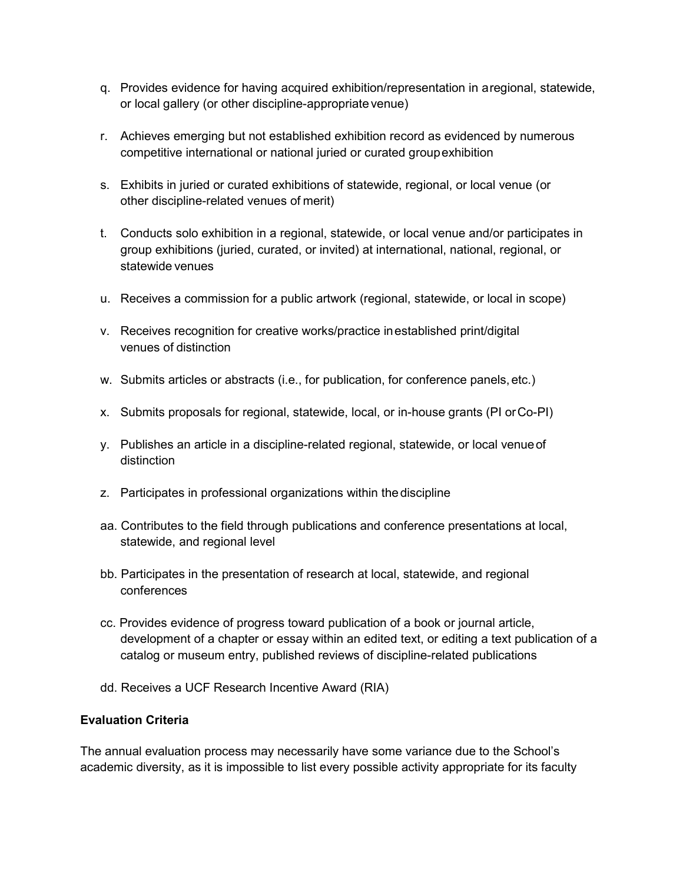- q. Provides evidence for having acquired exhibition/representation in aregional, statewide, or local gallery (or other discipline-appropriate venue)
- r. Achieves emerging but not established exhibition record as evidenced by numerous competitive international or national juried or curated groupexhibition
- s. Exhibits in juried or curated exhibitions of statewide, regional, or local venue (or other discipline-related venues of merit)
- t. Conducts solo exhibition in a regional, statewide, or local venue and/or participates in group exhibitions (juried, curated, or invited) at international, national, regional, or statewide venues
- u. Receives a commission for a public artwork (regional, statewide, or local in scope)
- v. Receives recognition for creative works/practice inestablished print/digital venues of distinction
- w. Submits articles or abstracts (i.e., for publication, for conference panels, etc.)
- x. Submits proposals for regional, statewide, local, or in-house grants (PI orCo-PI)
- y. Publishes an article in a discipline-related regional, statewide, or local venueof distinction
- z. Participates in professional organizations within thediscipline
- aa. Contributes to the field through publications and conference presentations at local, statewide, and regional level
- bb. Participates in the presentation of research at local, statewide, and regional conferences
- cc. Provides evidence of progress toward publication of a book or journal article, development of a chapter or essay within an edited text, or editing a text publication of a catalog or museum entry, published reviews of discipline-related publications
- dd. Receives a UCF Research Incentive Award (RIA)

### **Evaluation Criteria**

The annual evaluation process may necessarily have some variance due to the School's academic diversity, as it is impossible to list every possible activity appropriate for its faculty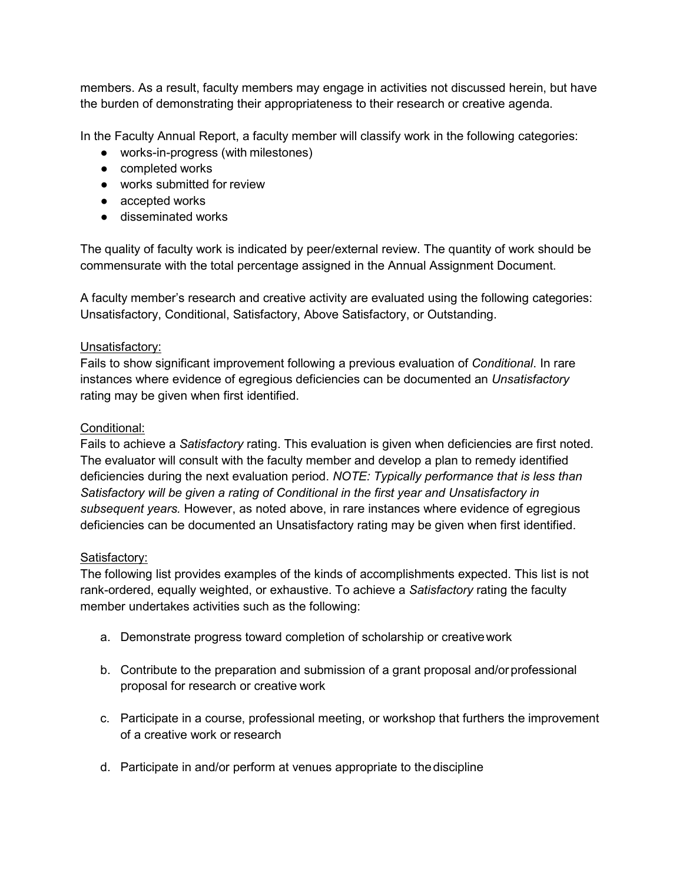members. As a result, faculty members may engage in activities not discussed herein, but have the burden of demonstrating their appropriateness to their research or creative agenda.

In the Faculty Annual Report, a faculty member will classify work in the following categories:

- works-in-progress (with milestones)
- completed works
- works submitted for review
- accepted works
- disseminated works

The quality of faculty work is indicated by peer/external review. The quantity of work should be commensurate with the total percentage assigned in the Annual Assignment Document.

A faculty member's research and creative activity are evaluated using the following categories: Unsatisfactory, Conditional, Satisfactory, Above Satisfactory, or Outstanding.

### Unsatisfactory:

Fails to show significant improvement following a previous evaluation of *Conditional*. In rare instances where evidence of egregious deficiencies can be documented an *Unsatisfactory*  rating may be given when first identified.

### Conditional:

Fails to achieve a *Satisfactory* rating. This evaluation is given when deficiencies are first noted. The evaluator will consult with the faculty member and develop a plan to remedy identified deficiencies during the next evaluation period. *NOTE: Typically performance that is less than Satisfactory will be given a rating of Conditional in the first year and Unsatisfactory in subsequent years.* However, as noted above, in rare instances where evidence of egregious deficiencies can be documented an Unsatisfactory rating may be given when first identified.

#### Satisfactory:

The following list provides examples of the kinds of accomplishments expected. This list is not rank-ordered, equally weighted, or exhaustive. To achieve a *Satisfactory* rating the faculty member undertakes activities such as the following:

- a. Demonstrate progress toward completion of scholarship or creativework
- b. Contribute to the preparation and submission of a grant proposal and/or professional proposal for research or creative work
- c. Participate in a course, professional meeting, or workshop that furthers the improvement of a creative work or research
- d. Participate in and/or perform at venues appropriate to thediscipline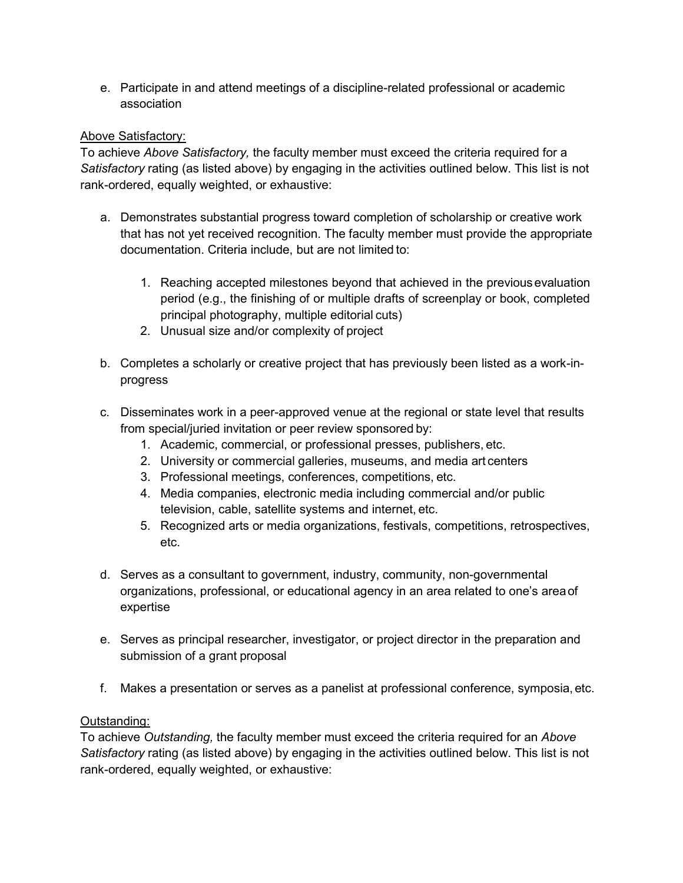e. Participate in and attend meetings of a discipline-related professional or academic association

## Above Satisfactory:

To achieve *Above Satisfactory,* the faculty member must exceed the criteria required for a *Satisfactory* rating (as listed above) by engaging in the activities outlined below. This list is not rank-ordered, equally weighted, or exhaustive:

- a. Demonstrates substantial progress toward completion of scholarship or creative work that has not yet received recognition. The faculty member must provide the appropriate documentation. Criteria include, but are not limited to:
	- 1. Reaching accepted milestones beyond that achieved in the previousevaluation period (e.g., the finishing of or multiple drafts of screenplay or book, completed principal photography, multiple editorial cuts)
	- 2. Unusual size and/or complexity of project
- b. Completes a scholarly or creative project that has previously been listed as a work-inprogress
- c. Disseminates work in a peer-approved venue at the regional or state level that results from special/juried invitation or peer review sponsored by:
	- 1. Academic, commercial, or professional presses, publishers, etc.
	- 2. University or commercial galleries, museums, and media art centers
	- 3. Professional meetings, conferences, competitions, etc.
	- 4. Media companies, electronic media including commercial and/or public television, cable, satellite systems and internet, etc.
	- 5. Recognized arts or media organizations, festivals, competitions, retrospectives, etc.
- d. Serves as a consultant to government, industry, community, non-governmental organizations, professional, or educational agency in an area related to one's areaof expertise
- e. Serves as principal researcher, investigator, or project director in the preparation and submission of a grant proposal
- f. Makes a presentation or serves as a panelist at professional conference, symposia, etc.

# Outstanding:

To achieve *Outstanding,* the faculty member must exceed the criteria required for an *Above Satisfactory* rating (as listed above) by engaging in the activities outlined below. This list is not rank-ordered, equally weighted, or exhaustive: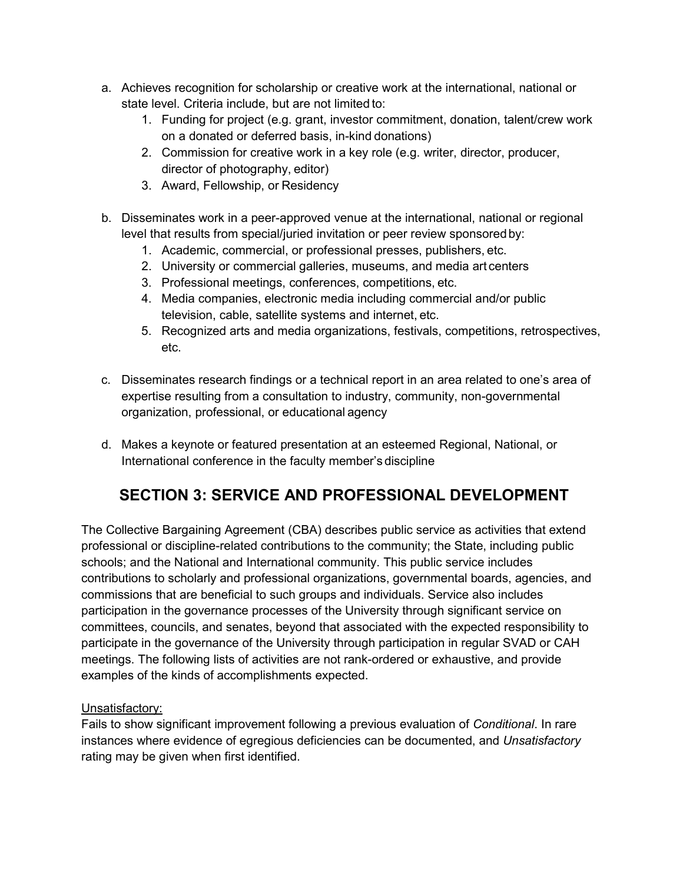- a. Achieves recognition for scholarship or creative work at the international, national or state level. Criteria include, but are not limited to:
	- 1. Funding for project (e.g. grant, investor commitment, donation, talent/crew work on a donated or deferred basis, in-kind donations)
	- 2. Commission for creative work in a key role (e.g. writer, director, producer, director of photography, editor)
	- 3. Award, Fellowship, or Residency
- b. Disseminates work in a peer-approved venue at the international, national or regional level that results from special/juried invitation or peer review sponsoredby:
	- 1. Academic, commercial, or professional presses, publishers, etc.
	- 2. University or commercial galleries, museums, and media art centers
	- 3. Professional meetings, conferences, competitions, etc.
	- 4. Media companies, electronic media including commercial and/or public television, cable, satellite systems and internet, etc.
	- 5. Recognized arts and media organizations, festivals, competitions, retrospectives, etc.
- c. Disseminates research findings or a technical report in an area related to one's area of expertise resulting from a consultation to industry, community, non-governmental organization, professional, or educational agency
- d. Makes a keynote or featured presentation at an esteemed Regional, National, or International conference in the faculty member's discipline

# **SECTION 3: SERVICE AND PROFESSIONAL DEVELOPMENT**

The Collective Bargaining Agreement (CBA) describes public service as activities that extend professional or discipline-related contributions to the community; the State, including public schools; and the National and International community. This public service includes contributions to scholarly and professional organizations, governmental boards, agencies, and commissions that are beneficial to such groups and individuals. Service also includes participation in the governance processes of the University through significant service on committees, councils, and senates, beyond that associated with the expected responsibility to participate in the governance of the University through participation in regular SVAD or CAH meetings. The following lists of activities are not rank-ordered or exhaustive, and provide examples of the kinds of accomplishments expected.

# Unsatisfactory:

Fails to show significant improvement following a previous evaluation of *Conditional*. In rare instances where evidence of egregious deficiencies can be documented, and *Unsatisfactory*  rating may be given when first identified.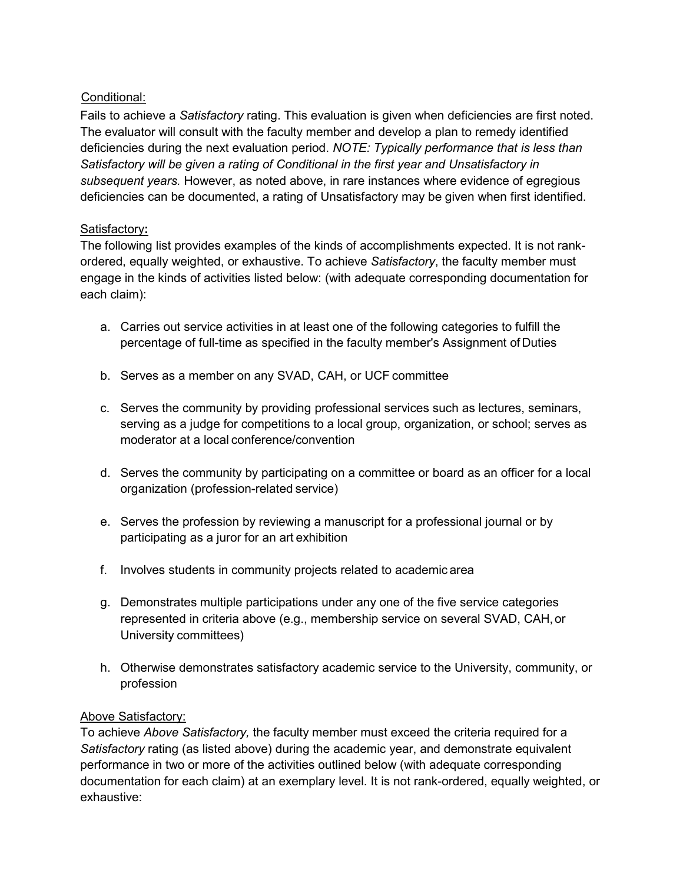# Conditional:

Fails to achieve a *Satisfactory* rating. This evaluation is given when deficiencies are first noted. The evaluator will consult with the faculty member and develop a plan to remedy identified deficiencies during the next evaluation period. *NOTE: Typically performance that is less than Satisfactory will be given a rating of Conditional in the first year and Unsatisfactory in subsequent years.* However, as noted above, in rare instances where evidence of egregious deficiencies can be documented, a rating of Unsatisfactory may be given when first identified.

# Satisfactory**:**

The following list provides examples of the kinds of accomplishments expected. It is not rankordered, equally weighted, or exhaustive. To achieve *Satisfactory*, the faculty member must engage in the kinds of activities listed below: (with adequate corresponding documentation for each claim):

- a. Carries out service activities in at least one of the following categories to fulfill the percentage of full-time as specified in the faculty member's Assignment of Duties
- b. Serves as a member on any SVAD, CAH, or UCF committee
- c. Serves the community by providing professional services such as lectures, seminars, serving as a judge for competitions to a local group, organization, or school; serves as moderator at a local conference/convention
- d. Serves the community by participating on a committee or board as an officer for a local organization (profession-related service)
- e. Serves the profession by reviewing a manuscript for a professional journal or by participating as a juror for an art exhibition
- f. Involves students in community projects related to academic area
- g. Demonstrates multiple participations under any one of the five service categories represented in criteria above (e.g., membership service on several SVAD, CAH,or University committees)
- h. Otherwise demonstrates satisfactory academic service to the University, community, or profession

# Above Satisfactory:

To achieve *Above Satisfactory,* the faculty member must exceed the criteria required for a *Satisfactory* rating (as listed above) during the academic year, and demonstrate equivalent performance in two or more of the activities outlined below (with adequate corresponding documentation for each claim) at an exemplary level. It is not rank-ordered, equally weighted, or exhaustive: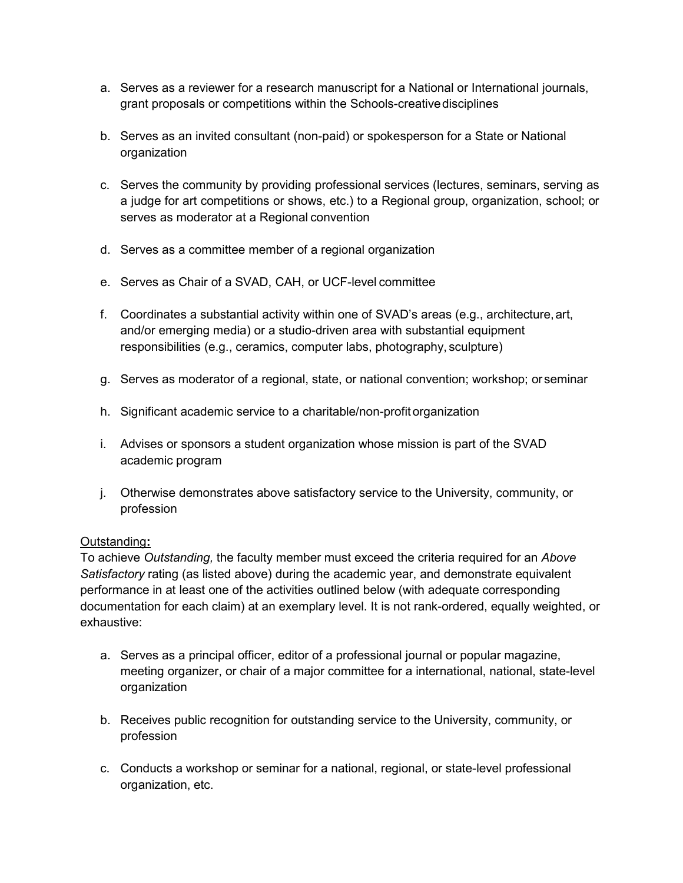- a. Serves as a reviewer for a research manuscript for a National or International journals, grant proposals or competitions within the Schools-creativedisciplines
- b. Serves as an invited consultant (non-paid) or spokesperson for a State or National organization
- c. Serves the community by providing professional services (lectures, seminars, serving as a judge for art competitions or shows, etc.) to a Regional group, organization, school; or serves as moderator at a Regional convention
- d. Serves as a committee member of a regional organization
- e. Serves as Chair of a SVAD, CAH, or UCF-level committee
- f. Coordinates a substantial activity within one of SVAD's areas (e.g., architecture,art, and/or emerging media) or a studio-driven area with substantial equipment responsibilities (e.g., ceramics, computer labs, photography, sculpture)
- g. Serves as moderator of a regional, state, or national convention; workshop; or seminar
- h. Significant academic service to a charitable/non-profitorganization
- i. Advises or sponsors a student organization whose mission is part of the SVAD academic program
- j. Otherwise demonstrates above satisfactory service to the University, community, or profession

### Outstanding**:**

To achieve *Outstanding,* the faculty member must exceed the criteria required for an *Above Satisfactory* rating (as listed above) during the academic year, and demonstrate equivalent performance in at least one of the activities outlined below (with adequate corresponding documentation for each claim) at an exemplary level. It is not rank-ordered, equally weighted, or exhaustive:

- a. Serves as a principal officer, editor of a professional journal or popular magazine, meeting organizer, or chair of a major committee for a international, national, state-level organization
- b. Receives public recognition for outstanding service to the University, community, or profession
- c. Conducts a workshop or seminar for a national, regional, or state-level professional organization, etc.